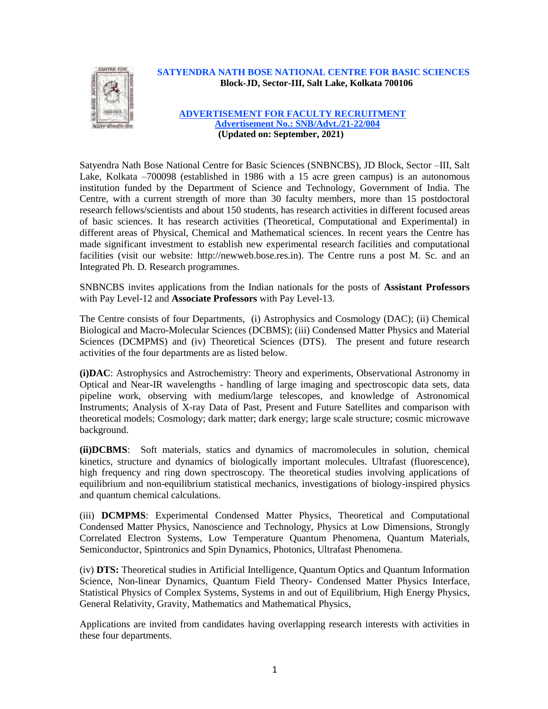

#### **SATYENDRA NATH BOSE NATIONAL CENTRE FOR BASIC SCIENCES Block-JD, Sector-III, Salt Lake, Kolkata 700106**

#### **ADVERTISEMENT FOR FACULTY RECRUITMENT Advertisement No.: SNB/Advt./21-22/004 (Updated on: September, 2021)**

Satyendra Nath Bose National Centre for Basic Sciences (SNBNCBS), JD Block, Sector –III, Salt Lake, Kolkata –700098 (established in 1986 with a 15 acre green campus) is an autonomous institution funded by the Department of Science and Technology, Government of India. The Centre, with a current strength of more than 30 faculty members, more than 15 postdoctoral research fellows/scientists and about 150 students, has research activities in different focused areas of basic sciences. It has research activities (Theoretical, Computational and Experimental) in different areas of Physical, Chemical and Mathematical sciences. In recent years the Centre has made significant investment to establish new experimental research facilities and computational facilities (visit our website: http://newweb.bose.res.in). The Centre runs a post M. Sc. and an Integrated Ph. D. Research programmes.

SNBNCBS invites applications from the Indian nationals for the posts of **Assistant Professors** with Pay Level-12 and **Associate Professors** with Pay Level-13.

The Centre consists of four Departments, (i) Astrophysics and Cosmology (DAC); (ii) Chemical Biological and Macro-Molecular Sciences (DCBMS); (iii) Condensed Matter Physics and Material Sciences (DCMPMS) and (iv) Theoretical Sciences (DTS). The present and future research activities of the four departments are as listed below.

**(i)DAC**: Astrophysics and Astrochemistry: Theory and experiments, Observational Astronomy in Optical and Near-IR wavelengths - handling of large imaging and spectroscopic data sets, data pipeline work, observing with medium/large telescopes, and knowledge of Astronomical Instruments; Analysis of X-ray Data of Past, Present and Future Satellites and comparison with theoretical models; Cosmology; dark matter; dark energy; large scale structure; cosmic microwave background.

**(ii)DCBMS**: Soft materials, statics and dynamics of macromolecules in solution, chemical kinetics, structure and dynamics of biologically important molecules. Ultrafast (fluorescence), high frequency and ring down spectroscopy. The theoretical studies involving applications of equilibrium and non-equilibrium statistical mechanics, investigations of biology-inspired physics and quantum chemical calculations.

(iii) **DCMPMS**: Experimental Condensed Matter Physics, Theoretical and Computational Condensed Matter Physics, Nanoscience and Technology, Physics at Low Dimensions, Strongly Correlated Electron Systems, Low Temperature Quantum Phenomena, Quantum Materials, Semiconductor, Spintronics and Spin Dynamics, Photonics, Ultrafast Phenomena.

(iv) **DTS:** Theoretical studies in Artificial Intelligence, Quantum Optics and Quantum Information Science, Non-linear Dynamics, Quantum Field Theory- Condensed Matter Physics Interface, Statistical Physics of Complex Systems, Systems in and out of Equilibrium, High Energy Physics, General Relativity, Gravity, Mathematics and Mathematical Physics,

Applications are invited from candidates having overlapping research interests with activities in these four departments.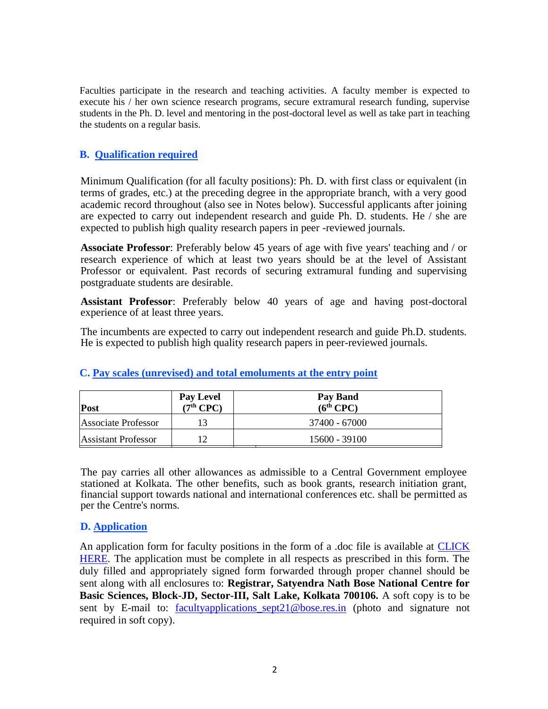Faculties participate in the research and teaching activities. A faculty member is expected to execute his / her own science research programs, secure extramural research funding, supervise students in the Ph. D. level and mentoring in the post-doctoral level as well as take part in teaching the students on a regular basis.

# **B. Qualification required**

Minimum Qualification (for all faculty positions): Ph. D. with first class or equivalent (in terms of grades, etc.) at the preceding degree in the appropriate branch, with a very good academic record throughout (also see in Notes below). Successful applicants after joining are expected to carry out independent research and guide Ph. D. students. He / she are expected to publish high quality research papers in peer -reviewed journals.

**Associate Professor**: Preferably below 45 years of age with five years' teaching and / or research experience of which at least two years should be at the level of Assistant Professor or equivalent. Past records of securing extramural funding and supervising postgraduate students are desirable.

**Assistant Professor**: Preferably below 40 years of age and having post-doctoral experience of at least three years.

The incumbents are expected to carry out independent research and guide Ph.D. students. He is expected to publish high quality research papers in peer-reviewed journals.

| Post                | <b>Pay Level</b><br>$(7th$ CPC) | Pay Band<br>$(6th$ CPC $)$ |
|---------------------|---------------------------------|----------------------------|
| Associate Professor |                                 | 37400 - 67000              |
| Assistant Professor |                                 | 15600 - 39100              |

## **C. Pay scales (unrevised) and total emoluments at the entry point**

The pay carries all other allowances as admissible to a Central Government employee stationed at Kolkata. The other benefits, such as book grants, research initiation grant, financial support towards national and international conferences etc. shall be permitted as per the Centre's norms.

## **D. Application**

An application form for faculty positions in the form of a .doc file is available at **CLICK** [HERE.](https://newweb.bose.res.in/linked-objects/New_Advertisement_2021/Application_Form.doc) The application must be complete in all respects as prescribed in this form. The duly filled and appropriately signed form forwarded through proper channel should be sent along with all enclosures to: **Registrar, Satyendra Nath Bose National Centre for Basic Sciences, Block-JD, Sector-III, Salt Lake, Kolkata 700106.** A soft copy is to be sent by E-mail to: facultyapplications sept21@bose.res.in (photo and signature not required in soft copy).